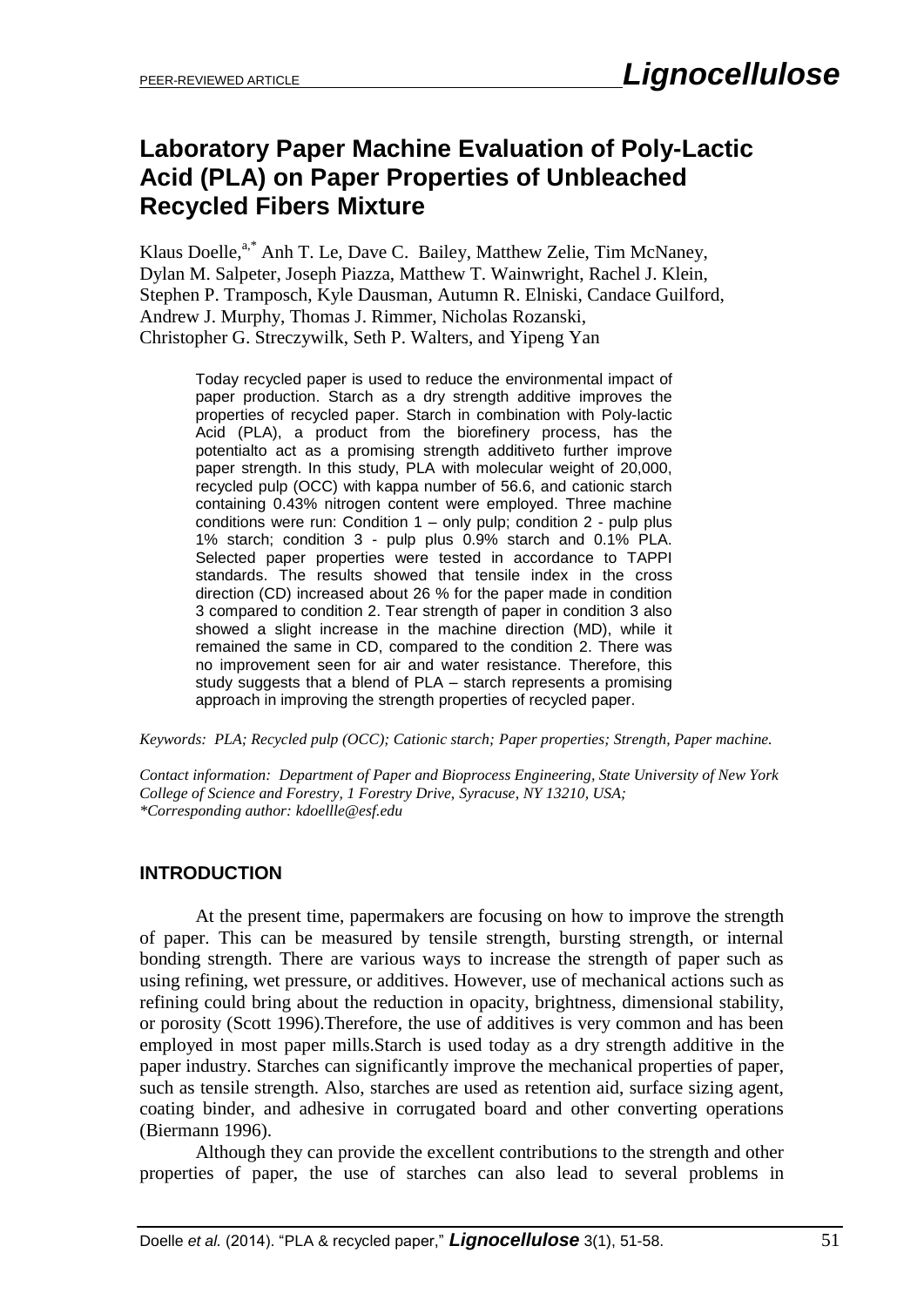# **Laboratory Paper Machine Evaluation of Poly-Lactic Acid (PLA) on Paper Properties of Unbleached Recycled Fibers Mixture**

Klaus Doelle,<sup>a,\*</sup> Anh T. Le, Dave C. Bailey, Matthew Zelie, Tim McNaney, Dylan M. Salpeter, Joseph Piazza, Matthew T. Wainwright, Rachel J. Klein, Stephen P. Tramposch, Kyle Dausman, Autumn R. Elniski, Candace Guilford, Andrew J. Murphy, Thomas J. Rimmer, Nicholas Rozanski, Christopher G. Streczywilk, Seth P. Walters, and Yipeng Yan

Today recycled paper is used to reduce the environmental impact of paper production. Starch as a dry strength additive improves the properties of recycled paper. Starch in combination with Poly-lactic Acid (PLA), a product from the biorefinery process, has the potentialto act as a promising strength additiveto further improve paper strength. In this study, PLA with molecular weight of 20,000, recycled pulp (OCC) with kappa number of 56.6, and cationic starch containing 0.43% nitrogen content were employed. Three machine conditions were run: Condition 1 – only pulp; condition 2 - pulp plus 1% starch; condition 3 - pulp plus 0.9% starch and 0.1% PLA. Selected paper properties were tested in accordance to TAPPI standards. The results showed that tensile index in the cross direction (CD) increased about 26 % for the paper made in condition 3 compared to condition 2. Tear strength of paper in condition 3 also showed a slight increase in the machine direction (MD), while it remained the same in CD, compared to the condition 2. There was no improvement seen for air and water resistance. Therefore, this study suggests that a blend of PLA – starch represents a promising approach in improving the strength properties of recycled paper.

*Keywords: PLA; Recycled pulp (OCC); Cationic starch; Paper properties; Strength, Paper machine.* 

*Contact information: Department of Paper and Bioprocess Engineering, State University of New York College of Science and Forestry, 1 Forestry Drive, Syracuse, NY 13210, USA; \*Corresponding author: kdoellle@esf.edu*

## **INTRODUCTION**

At the present time, papermakers are focusing on how to improve the strength of paper. This can be measured by tensile strength, bursting strength, or internal bonding strength. There are various ways to increase the strength of paper such as using refining, wet pressure, or additives. However, use of mechanical actions such as refining could bring about the reduction in opacity, brightness, dimensional stability, or porosity (Scott 1996).Therefore, the use of additives is very common and has been employed in most paper mills.Starch is used today as a dry strength additive in the paper industry. Starches can significantly improve the mechanical properties of paper, such as tensile strength. Also, starches are used as retention aid, surface sizing agent, coating binder, and adhesive in corrugated board and other converting operations (Biermann 1996).

Although they can provide the excellent contributions to the strength and other properties of paper, the use of starches can also lead to several problems in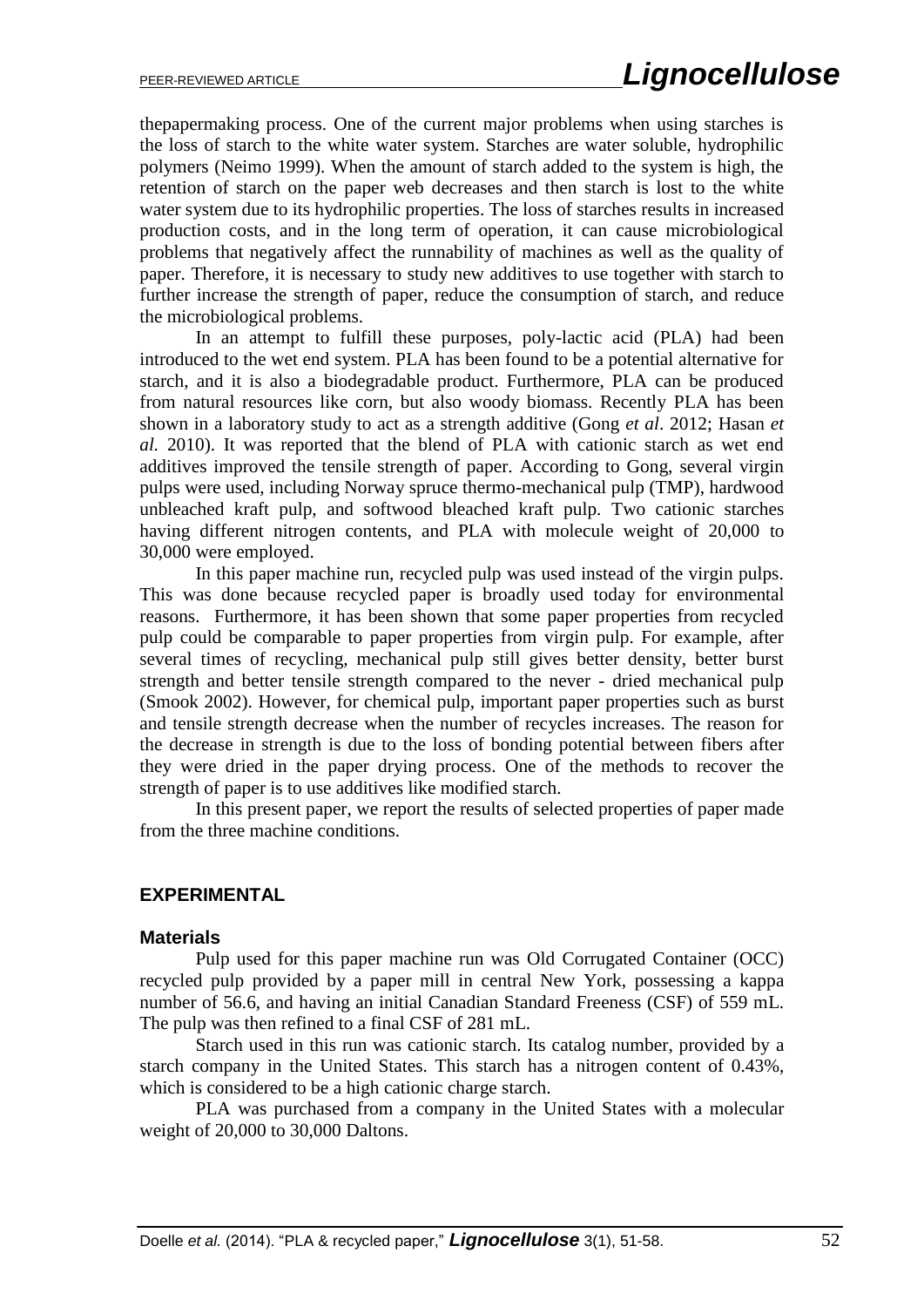thepapermaking process. One of the current major problems when using starches is the loss of starch to the white water system. Starches are water soluble, hydrophilic polymers (Neimo 1999). When the amount of starch added to the system is high, the retention of starch on the paper web decreases and then starch is lost to the white water system due to its hydrophilic properties. The loss of starches results in increased production costs, and in the long term of operation, it can cause microbiological problems that negatively affect the runnability of machines as well as the quality of paper. Therefore, it is necessary to study new additives to use together with starch to further increase the strength of paper, reduce the consumption of starch, and reduce the microbiological problems.

In an attempt to fulfill these purposes, poly-lactic acid (PLA) had been introduced to the wet end system. PLA has been found to be a potential alternative for starch, and it is also a biodegradable product. Furthermore, PLA can be produced from natural resources like corn, but also woody biomass. Recently PLA has been shown in a laboratory study to act as a strength additive (Gong *et al*. 2012; Hasan *et al.* 2010). It was reported that the blend of PLA with cationic starch as wet end additives improved the tensile strength of paper. According to Gong, several virgin pulps were used, including Norway spruce thermo-mechanical pulp (TMP), hardwood unbleached kraft pulp, and softwood bleached kraft pulp. Two cationic starches having different nitrogen contents, and PLA with molecule weight of 20,000 to 30,000 were employed.

In this paper machine run, recycled pulp was used instead of the virgin pulps. This was done because recycled paper is broadly used today for environmental reasons. Furthermore, it has been shown that some paper properties from recycled pulp could be comparable to paper properties from virgin pulp. For example, after several times of recycling, mechanical pulp still gives better density, better burst strength and better tensile strength compared to the never - dried mechanical pulp (Smook 2002). However, for chemical pulp, important paper properties such as burst and tensile strength decrease when the number of recycles increases. The reason for the decrease in strength is due to the loss of bonding potential between fibers after they were dried in the paper drying process. One of the methods to recover the strength of paper is to use additives like modified starch.

In this present paper, we report the results of selected properties of paper made from the three machine conditions.

#### **EXPERIMENTAL**

#### **Materials**

Pulp used for this paper machine run was Old Corrugated Container (OCC) recycled pulp provided by a paper mill in central New York, possessing a kappa number of 56.6, and having an initial Canadian Standard Freeness (CSF) of 559 mL. The pulp was then refined to a final CSF of 281 mL.

Starch used in this run was cationic starch. Its catalog number, provided by a starch company in the United States. This starch has a nitrogen content of 0.43%, which is considered to be a high cationic charge starch.

PLA was purchased from a company in the United States with a molecular weight of 20,000 to 30,000 Daltons.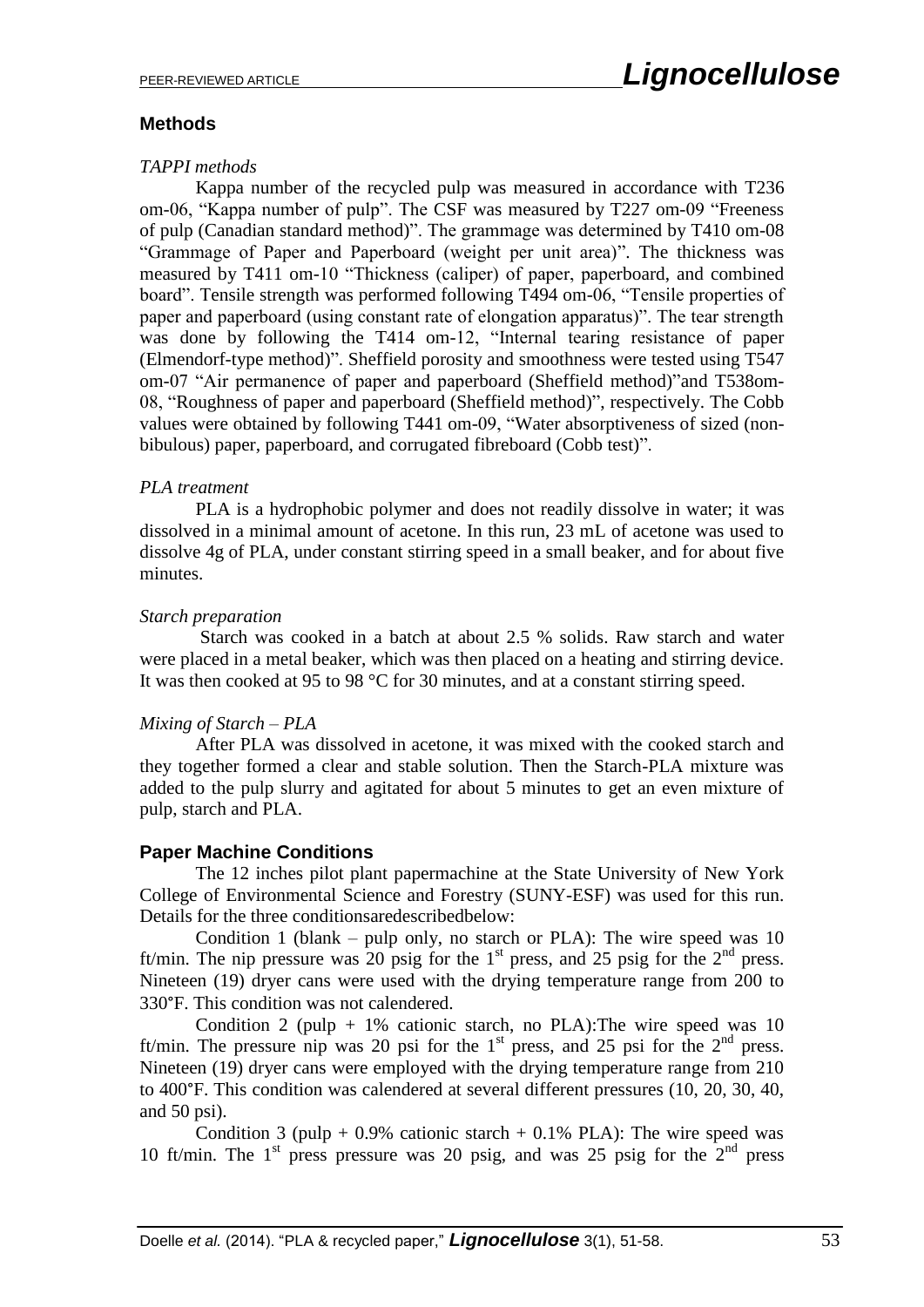## **Methods**

## *TAPPI methods*

Kappa number of the recycled pulp was measured in accordance with T236 om-06, "Kappa number of pulp". The CSF was measured by T227 om-09 "Freeness of pulp (Canadian standard method)". The grammage was determined by T410 om-08 "Grammage of Paper and Paperboard (weight per unit area)". The thickness was measured by T411 om-10 "Thickness (caliper) of paper, paperboard, and combined board". Tensile strength was performed following T494 om-06, "Tensile properties of paper and paperboard (using constant rate of elongation apparatus)". The tear strength was done by following the T414 om-12, "Internal tearing resistance of paper (Elmendorf-type method)". Sheffield porosity and smoothness were tested using T547 om-07 "Air permanence of paper and paperboard (Sheffield method)"and T538om-08, "Roughness of paper and paperboard (Sheffield method)", respectively. The Cobb values were obtained by following T441 om-09, "Water absorptiveness of sized (nonbibulous) paper, paperboard, and corrugated fibreboard (Cobb test)".

#### *PLA treatment*

PLA is a hydrophobic polymer and does not readily dissolve in water; it was dissolved in a minimal amount of acetone. In this run, 23 mL of acetone was used to dissolve 4g of PLA, under constant stirring speed in a small beaker, and for about five minutes.

## *Starch preparation*

Starch was cooked in a batch at about 2.5 % solids. Raw starch and water were placed in a metal beaker, which was then placed on a heating and stirring device. It was then cooked at 95 to 98 °C for 30 minutes, and at a constant stirring speed.

## *Mixing of Starch – PLA*

After PLA was dissolved in acetone, it was mixed with the cooked starch and they together formed a clear and stable solution. Then the Starch-PLA mixture was added to the pulp slurry and agitated for about 5 minutes to get an even mixture of pulp, starch and PLA.

## **Paper Machine Conditions**

The 12 inches pilot plant papermachine at the State University of New York College of Environmental Science and Forestry (SUNY-ESF) was used for this run. Details for the three conditionsaredescribedbelow:

Condition 1 (blank – pulp only, no starch or PLA): The wire speed was 10 ft/min. The nip pressure was 20 psig for the  $1<sup>st</sup>$  press, and 25 psig for the  $2<sup>nd</sup>$  press. Nineteen (19) dryer cans were used with the drying temperature range from 200 to 330°F. This condition was not calendered.

Condition 2 (pulp  $+ 1\%$  cationic starch, no PLA): The wire speed was 10 ft/min. The pressure nip was 20 psi for the  $1<sup>st</sup>$  press, and 25 psi for the  $2<sup>nd</sup>$  press. Nineteen (19) dryer cans were employed with the drying temperature range from 210 to 400°F. This condition was calendered at several different pressures (10, 20, 30, 40, and 50 psi).

Condition 3 (pulp + 0.9% cationic starch + 0.1% PLA): The wire speed was 10 ft/min. The  $1<sup>st</sup>$  press pressure was 20 psig, and was 25 psig for the  $2<sup>nd</sup>$  press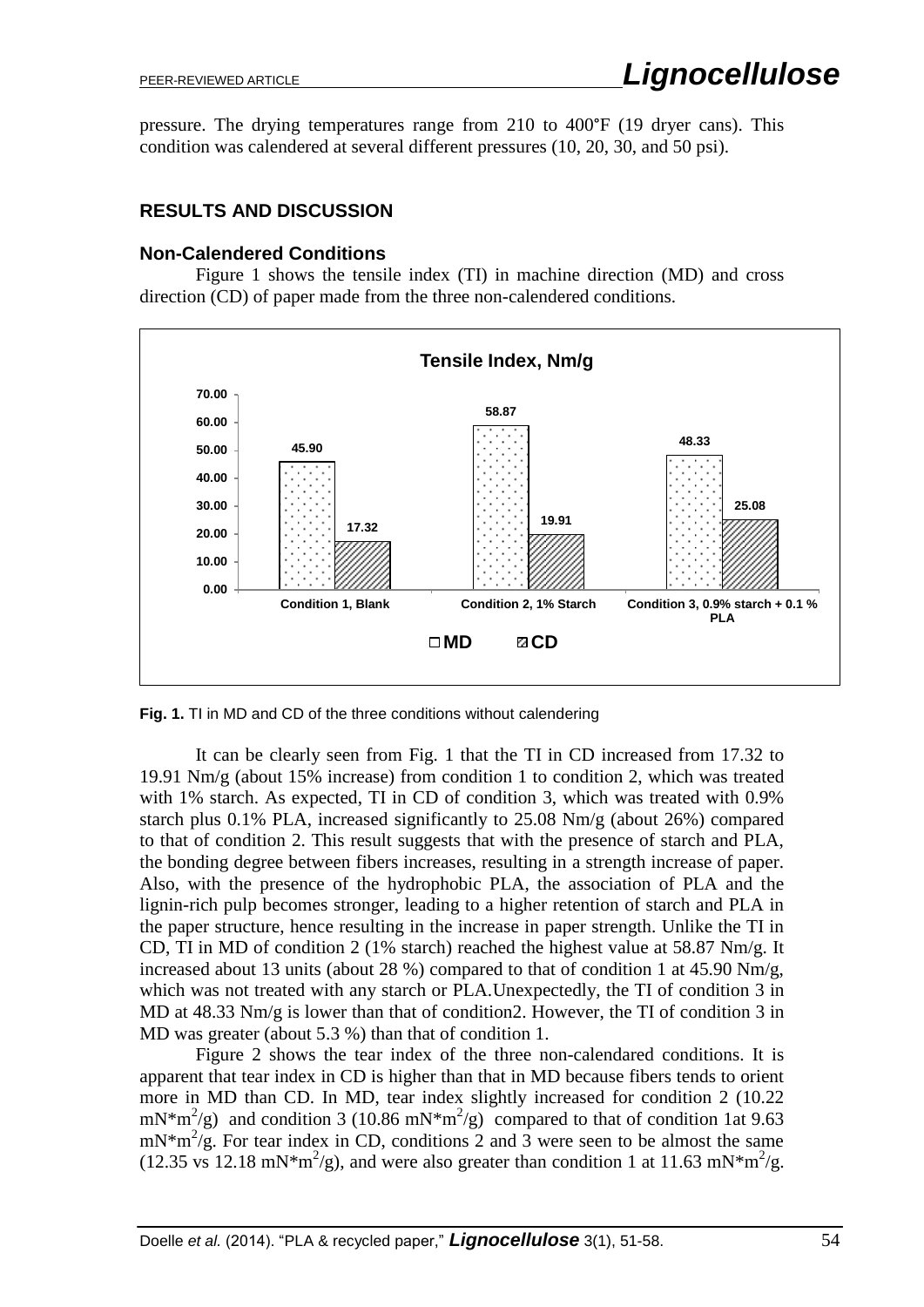pressure. The drying temperatures range from 210 to 400°F (19 dryer cans). This condition was calendered at several different pressures (10, 20, 30, and 50 psi).

## **RESULTS AND DISCUSSION**

## **Non-Calendered Conditions**

Figure 1 shows the tensile index (TI) in machine direction (MD) and cross direction (CD) of paper made from the three non-calendered conditions.



**Fig. 1.** TI in MD and CD of the three conditions without calendering

It can be clearly seen from Fig. 1 that the TI in CD increased from 17.32 to 19.91 Nm/g (about 15% increase) from condition 1 to condition 2, which was treated with 1% starch. As expected, TI in CD of condition 3, which was treated with 0.9% starch plus  $0.1\%$  PLA, increased significantly to  $25.08$  Nm/g (about 26%) compared to that of condition 2. This result suggests that with the presence of starch and PLA, the bonding degree between fibers increases, resulting in a strength increase of paper. Also, with the presence of the hydrophobic PLA, the association of PLA and the lignin-rich pulp becomes stronger, leading to a higher retention of starch and PLA in the paper structure, hence resulting in the increase in paper strength. Unlike the TI in CD, TI in MD of condition 2 (1% starch) reached the highest value at 58.87 Nm/g. It increased about 13 units (about 28 %) compared to that of condition 1 at 45.90 Nm/g, which was not treated with any starch or PLA.Unexpectedly, the TI of condition 3 in MD at 48.33 Nm/g is lower than that of condition2. However, the TI of condition 3 in MD was greater (about 5.3 %) than that of condition 1.

Figure 2 shows the tear index of the three non-calendared conditions. It is apparent that tear index in CD is higher than that in MD because fibers tends to orient more in MD than CD. In MD, tear index slightly increased for condition 2 (10.22 mN<sup>\*m<sup>2</sup>/g) and condition 3 (10.86 mN<sup>\*m<sup>2</sup>/g) compared to that of condition 1at 9.63</sup></sup>  $mN*m^2/g$ . For tear index in CD, conditions 2 and 3 were seen to be almost the same  $(12.35 \text{ vs } 12.18 \text{ mN}^* \text{m}^2/\text{g})$ , and were also greater than condition 1 at 11.63 mN\*m<sup>2</sup>/g.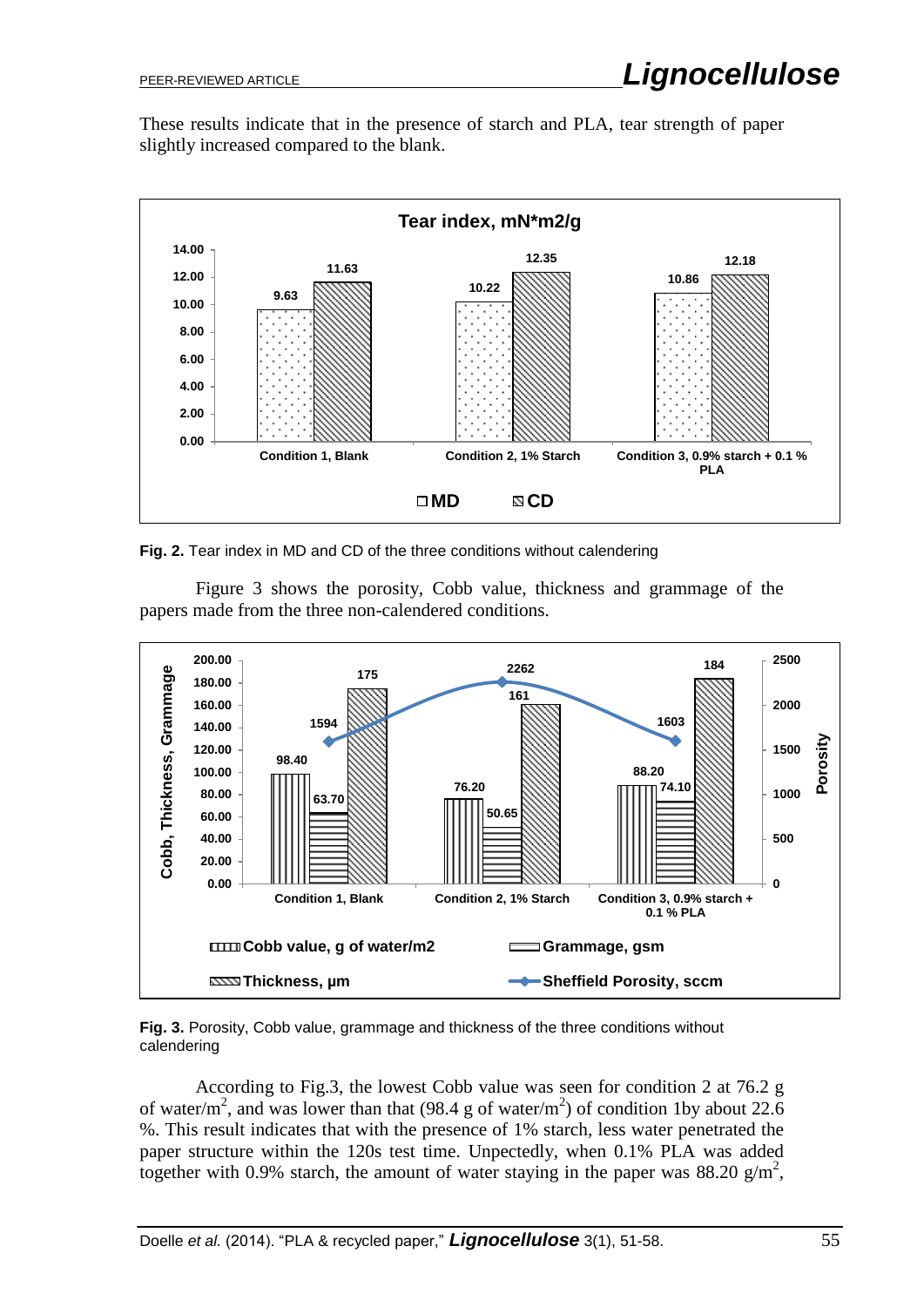These results indicate that in the presence of starch and PLA, tear strength of paper slightly increased compared to the blank.



**Fig. 2.** Tear index in MD and CD of the three conditions without calendering

Figure 3 shows the porosity, Cobb value, thickness and grammage of the papers made from the three non-calendered conditions.



**Fig. 3.** Porosity, Cobb value, grammage and thickness of the three conditions without calendering

According to Fig.3, the lowest Cobb value was seen for condition 2 at 76.2 g of water/m<sup>2</sup>, and was lower than that (98.4 g of water/m<sup>2</sup>) of condition 1by about 22.6 %. This result indicates that with the presence of 1% starch, less water penetrated the paper structure within the 120s test time. Unpectedly, when 0.1% PLA was added together with 0.9% starch, the amount of water staying in the paper was 88.20  $g/m^2$ ,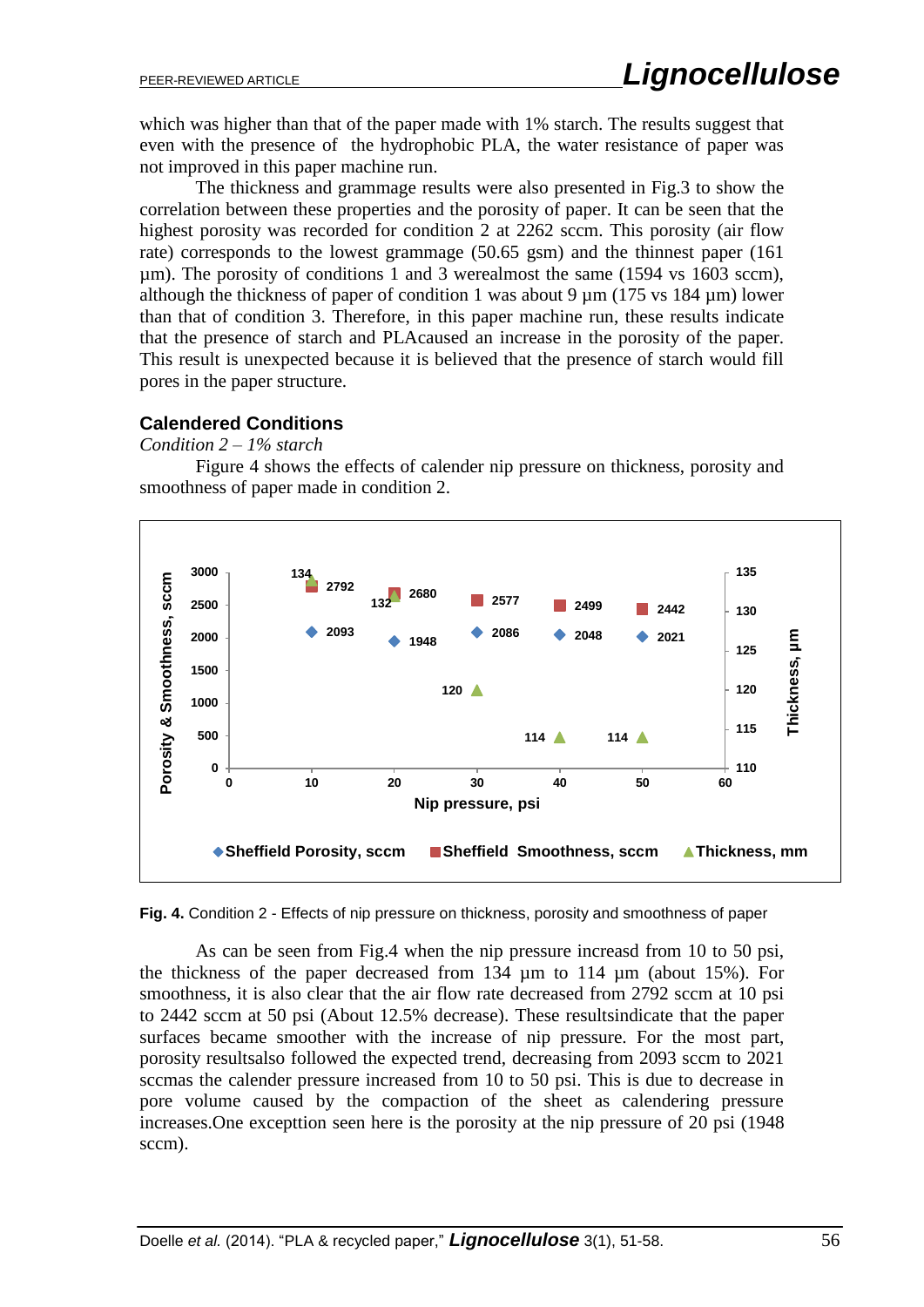which was higher than that of the paper made with 1% starch. The results suggest that even with the presence of the hydrophobic PLA, the water resistance of paper was not improved in this paper machine run.

The thickness and grammage results were also presented in Fig.3 to show the correlation between these properties and the porosity of paper. It can be seen that the highest porosity was recorded for condition 2 at 2262 sccm. This porosity (air flow rate) corresponds to the lowest grammage (50.65 gsm) and the thinnest paper (161 µm). The porosity of conditions 1 and 3 werealmost the same (1594 vs 1603 sccm), although the thickness of paper of condition 1 was about 9 µm (175 vs 184 µm) lower than that of condition 3. Therefore, in this paper machine run, these results indicate that the presence of starch and PLAcaused an increase in the porosity of the paper. This result is unexpected because it is believed that the presence of starch would fill pores in the paper structure.

## **Calendered Conditions**

*Condition 2 – 1% starch*

Figure 4 shows the effects of calender nip pressure on thickness, porosity and smoothness of paper made in condition 2.



**Fig. 4.** Condition 2 - Effects of nip pressure on thickness, porosity and smoothness of paper

As can be seen from Fig.4 when the nip pressure increasd from 10 to 50 psi, the thickness of the paper decreased from 134 µm to 114 µm (about 15%). For smoothness, it is also clear that the air flow rate decreased from 2792 sccm at 10 psi to 2442 sccm at 50 psi (About 12.5% decrease). These resultsindicate that the paper surfaces became smoother with the increase of nip pressure. For the most part, porosity resultsalso followed the expected trend, decreasing from 2093 sccm to 2021 sccmas the calender pressure increased from 10 to 50 psi. This is due to decrease in pore volume caused by the compaction of the sheet as calendering pressure increases.One excepttion seen here is the porosity at the nip pressure of 20 psi (1948 sccm).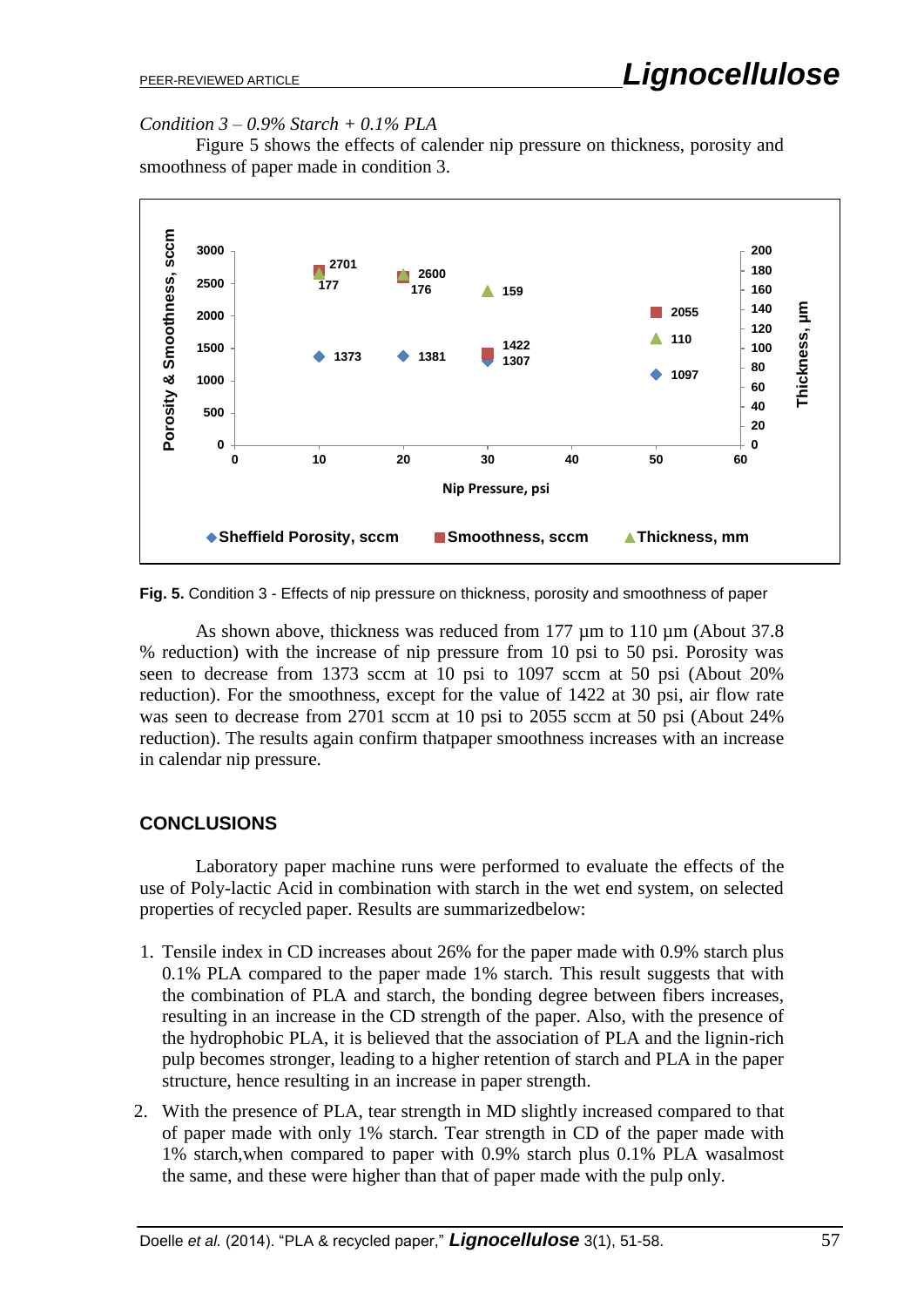*Condition 3 – 0.9% Starch + 0.1% PLA*

Figure 5 shows the effects of calender nip pressure on thickness, porosity and smoothness of paper made in condition 3.



**Fig. 5.** Condition 3 - Effects of nip pressure on thickness, porosity and smoothness of paper

As shown above, thickness was reduced from 177  $\mu$ m to 110  $\mu$ m (About 37.8) % reduction) with the increase of nip pressure from 10 psi to 50 psi. Porosity was seen to decrease from 1373 sccm at 10 psi to 1097 sccm at 50 psi (About 20% reduction). For the smoothness, except for the value of 1422 at 30 psi, air flow rate was seen to decrease from 2701 sccm at 10 psi to 2055 sccm at 50 psi (About 24% reduction). The results again confirm thatpaper smoothness increases with an increase in calendar nip pressure.

#### **CONCLUSIONS**

Laboratory paper machine runs were performed to evaluate the effects of the use of Poly-lactic Acid in combination with starch in the wet end system, on selected properties of recycled paper. Results are summarizedbelow:

- 1. Tensile index in CD increases about 26% for the paper made with 0.9% starch plus 0.1% PLA compared to the paper made 1% starch. This result suggests that with the combination of PLA and starch, the bonding degree between fibers increases, resulting in an increase in the CD strength of the paper. Also, with the presence of the hydrophobic PLA, it is believed that the association of PLA and the lignin-rich pulp becomes stronger, leading to a higher retention of starch and PLA in the paper structure, hence resulting in an increase in paper strength.
- 2. With the presence of PLA, tear strength in MD slightly increased compared to that of paper made with only 1% starch. Tear strength in CD of the paper made with 1% starch,when compared to paper with 0.9% starch plus 0.1% PLA wasalmost the same, and these were higher than that of paper made with the pulp only.